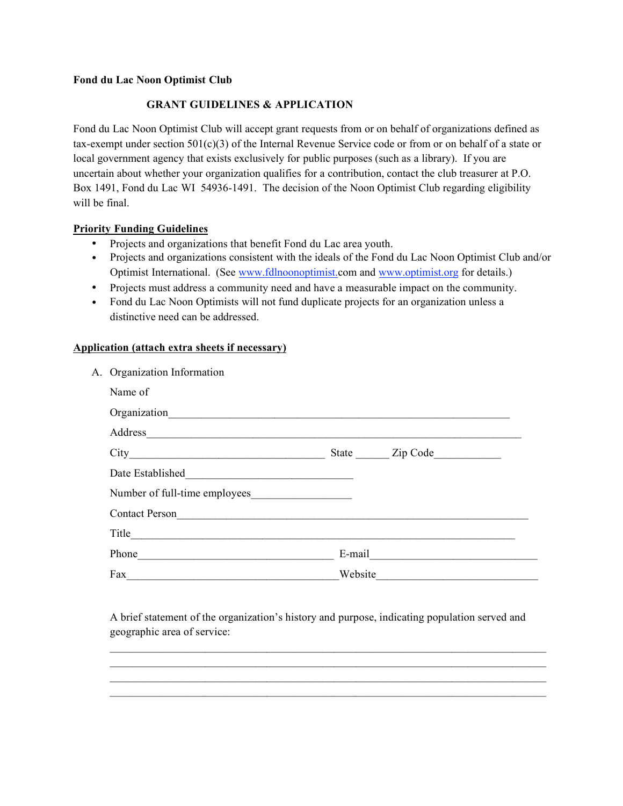## **Fond du Lac Noon Optimist Club**

## **GRANT GUIDELINES & APPLICATION**

Fond du Lac Noon Optimist Club will accept grant requests from or on behalf of organizations defined as tax-exempt under section 501(c)(3) of the Internal Revenue Service code or from or on behalf of a state or local government agency that exists exclusively for public purposes (such as a library). If you are uncertain about whether your organization qualifies for a contribution, contact the club treasurer at P.O. Box 1491, Fond du Lac WI 54936-1491. The decision of the Noon Optimist Club regarding eligibility will be final.

## **Priority Funding Guidelines**

- Projects and organizations that benefit Fond du Lac area youth.
- Projects and organizations consistent with the ideals of the Fond du Lac Noon Optimist Club and/or Optimist International. (See www.fdlnoonoptimist.com and www.optimist.org for details.)
- Projects must address a community need and have a measurable impact on the community.
- Fond du Lac Noon Optimists will not fund duplicate projects for an organization unless a distinctive need can be addressed.

## **Application (attach extra sheets if necessary)**

| A. Organization Information   |         |                        |
|-------------------------------|---------|------------------------|
| Name of                       |         |                        |
|                               |         |                        |
|                               |         |                        |
|                               |         |                        |
| Date Established              |         |                        |
| Number of full-time employees |         |                        |
| Contact Person                |         |                        |
| Title                         |         |                        |
|                               |         | E-mail $\qquad \qquad$ |
| Fax                           | Website |                        |

A brief statement of the organization's history and purpose, indicating population served and geographic area of service:

\_\_\_\_\_\_\_\_\_\_\_\_\_\_\_\_\_\_\_\_\_\_\_\_\_\_\_\_\_\_\_\_\_\_\_\_\_\_\_\_\_\_\_\_\_\_\_\_\_\_\_\_\_\_\_\_\_\_\_\_\_\_\_\_\_\_\_\_\_\_\_\_\_\_\_\_\_\_  $\mathcal{L}_\text{max} = \mathcal{L}_\text{max} = \mathcal{L}_\text{max} = \mathcal{L}_\text{max} = \mathcal{L}_\text{max} = \mathcal{L}_\text{max} = \mathcal{L}_\text{max} = \mathcal{L}_\text{max} = \mathcal{L}_\text{max} = \mathcal{L}_\text{max} = \mathcal{L}_\text{max} = \mathcal{L}_\text{max} = \mathcal{L}_\text{max} = \mathcal{L}_\text{max} = \mathcal{L}_\text{max} = \mathcal{L}_\text{max} = \mathcal{L}_\text{max} = \mathcal{L}_\text{max} = \mathcal{$  $\mathcal{L}_\text{max} = \mathcal{L}_\text{max} = \mathcal{L}_\text{max} = \mathcal{L}_\text{max} = \mathcal{L}_\text{max} = \mathcal{L}_\text{max} = \mathcal{L}_\text{max} = \mathcal{L}_\text{max} = \mathcal{L}_\text{max} = \mathcal{L}_\text{max} = \mathcal{L}_\text{max} = \mathcal{L}_\text{max} = \mathcal{L}_\text{max} = \mathcal{L}_\text{max} = \mathcal{L}_\text{max} = \mathcal{L}_\text{max} = \mathcal{L}_\text{max} = \mathcal{L}_\text{max} = \mathcal{$  $\mathcal{L}_\mathcal{L} = \{ \mathcal{L}_\mathcal{L} = \{ \mathcal{L}_\mathcal{L} = \{ \mathcal{L}_\mathcal{L} = \{ \mathcal{L}_\mathcal{L} = \{ \mathcal{L}_\mathcal{L} = \{ \mathcal{L}_\mathcal{L} = \{ \mathcal{L}_\mathcal{L} = \{ \mathcal{L}_\mathcal{L} = \{ \mathcal{L}_\mathcal{L} = \{ \mathcal{L}_\mathcal{L} = \{ \mathcal{L}_\mathcal{L} = \{ \mathcal{L}_\mathcal{L} = \{ \mathcal{L}_\mathcal{L} = \{ \mathcal{L}_\mathcal{$